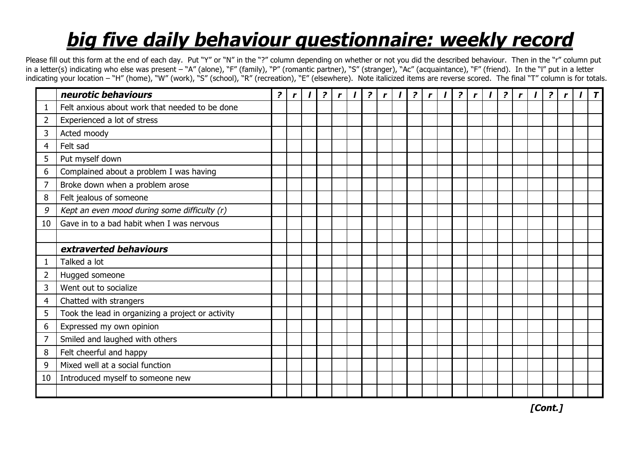## *big five daily behaviour questionnaire: weekly record*

Please fill out this form at the end of each day. Put "Y" or "N" in the "?" column depending on whether or not you did the described behaviour. Then in the "r" column put in a letter(s) indicating who else was present - "A" (alone), "F" (family), "P" (romantic partner), "S" (stranger), "Ac" (acquaintance), "F" (friend). In the "I" put in a letter indicating your location – "H" (home), "W" (work), "S" (school), "R" (recreation), "E" (elsewhere). Note italicized items are reverse scored. The final "T" column is for totals.

|                | neurotic behaviours                               | $\overline{z}$ | r | $\mathbf{I}$ | $\overline{?}$ | $\mathbf{r}$ | $\mathbf{I}$ | $\overline{?}$ | $\mathbf{r}$ | $\mathbf{I}$ | $\overline{?}$ | $\mathbf{r}$ | $\mathbf{I}$ | $\overline{?}$ | $\mathbf{r}$ | $\mathbf{I}$ | $\overline{?}$ | $\mathbf{r}$ | $\overline{?}$ |  |  |
|----------------|---------------------------------------------------|----------------|---|--------------|----------------|--------------|--------------|----------------|--------------|--------------|----------------|--------------|--------------|----------------|--------------|--------------|----------------|--------------|----------------|--|--|
|                | Felt anxious about work that needed to be done    |                |   |              |                |              |              |                |              |              |                |              |              |                |              |              |                |              |                |  |  |
| $\overline{2}$ | Experienced a lot of stress                       |                |   |              |                |              |              |                |              |              |                |              |              |                |              |              |                |              |                |  |  |
| $\overline{3}$ | Acted moody                                       |                |   |              |                |              |              |                |              |              |                |              |              |                |              |              |                |              |                |  |  |
| $\overline{4}$ | Felt sad                                          |                |   |              |                |              |              |                |              |              |                |              |              |                |              |              |                |              |                |  |  |
| 5              | Put myself down                                   |                |   |              |                |              |              |                |              |              |                |              |              |                |              |              |                |              |                |  |  |
| 6              | Complained about a problem I was having           |                |   |              |                |              |              |                |              |              |                |              |              |                |              |              |                |              |                |  |  |
| $\overline{7}$ | Broke down when a problem arose                   |                |   |              |                |              |              |                |              |              |                |              |              |                |              |              |                |              |                |  |  |
| 8              | Felt jealous of someone                           |                |   |              |                |              |              |                |              |              |                |              |              |                |              |              |                |              |                |  |  |
| 9              | Kept an even mood during some difficulty (r)      |                |   |              |                |              |              |                |              |              |                |              |              |                |              |              |                |              |                |  |  |
| 10             | Gave in to a bad habit when I was nervous         |                |   |              |                |              |              |                |              |              |                |              |              |                |              |              |                |              |                |  |  |
|                |                                                   |                |   |              |                |              |              |                |              |              |                |              |              |                |              |              |                |              |                |  |  |
|                | extraverted behaviours                            |                |   |              |                |              |              |                |              |              |                |              |              |                |              |              |                |              |                |  |  |
| 1              | Talked a lot                                      |                |   |              |                |              |              |                |              |              |                |              |              |                |              |              |                |              |                |  |  |
| $\overline{2}$ | Hugged someone                                    |                |   |              |                |              |              |                |              |              |                |              |              |                |              |              |                |              |                |  |  |
| 3              | Went out to socialize                             |                |   |              |                |              |              |                |              |              |                |              |              |                |              |              |                |              |                |  |  |
| 4              | Chatted with strangers                            |                |   |              |                |              |              |                |              |              |                |              |              |                |              |              |                |              |                |  |  |
| 5              | Took the lead in organizing a project or activity |                |   |              |                |              |              |                |              |              |                |              |              |                |              |              |                |              |                |  |  |
| 6              | Expressed my own opinion                          |                |   |              |                |              |              |                |              |              |                |              |              |                |              |              |                |              |                |  |  |
| $\overline{7}$ | Smiled and laughed with others                    |                |   |              |                |              |              |                |              |              |                |              |              |                |              |              |                |              |                |  |  |
| 8              | Felt cheerful and happy                           |                |   |              |                |              |              |                |              |              |                |              |              |                |              |              |                |              |                |  |  |
| 9              | Mixed well at a social function                   |                |   |              |                |              |              |                |              |              |                |              |              |                |              |              |                |              |                |  |  |
| 10             | Introduced myself to someone new                  |                |   |              |                |              |              |                |              |              |                |              |              |                |              |              |                |              |                |  |  |
|                |                                                   |                |   |              |                |              |              |                |              |              |                |              |              |                |              |              |                |              |                |  |  |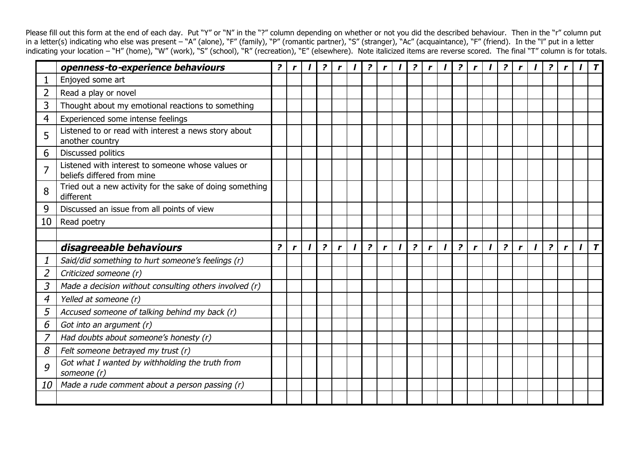Please fill out this form at the end of each day. Put "Y" or "N" in the "?" column depending on whether or not you did the described behaviour. Then in the "r" column put in a letter(s) indicating who else was present – "A" (alone), "F" (family), "P" (romantic partner), "S" (stranger), "Ac" (acquaintance), "F" (friend). In the "l" put in a letter indicating your location – "H" (home), "W" (work), "S" (school), "R" (recreation), "E" (elsewhere). Note italicized items are reverse scored. The final "T" column is for totals.

|                | openness-to-experience behaviours                                               | $\overline{\mathbf{r}}$ | $\mathbf{r}$ |              | $\overline{\mathbf{z}}$ | $\mathbf{r}$ |              | $\overline{?}$ | $\mathbf{r}$ | $\mathbf{I}$ | $\overline{?}$ | $\mathbf{r}$ | $\mathbf{I}$ | $\overline{?}$ | r <sub>1</sub> | $\prime$ 1   | $\overline{?}$ | $\mathbf{r}$ |              | $\overline{?}$ |              |              | $\boldsymbol{\tau}$ |
|----------------|---------------------------------------------------------------------------------|-------------------------|--------------|--------------|-------------------------|--------------|--------------|----------------|--------------|--------------|----------------|--------------|--------------|----------------|----------------|--------------|----------------|--------------|--------------|----------------|--------------|--------------|---------------------|
|                | Enjoyed some art                                                                |                         |              |              |                         |              |              |                |              |              |                |              |              |                |                |              |                |              |              |                |              |              |                     |
| 2              | Read a play or novel                                                            |                         |              |              |                         |              |              |                |              |              |                |              |              |                |                |              |                |              |              |                |              |              |                     |
| 3              | Thought about my emotional reactions to something                               |                         |              |              |                         |              |              |                |              |              |                |              |              |                |                |              |                |              |              |                |              |              |                     |
| 4              | Experienced some intense feelings                                               |                         |              |              |                         |              |              |                |              |              |                |              |              |                |                |              |                |              |              |                |              |              |                     |
| 5              | Listened to or read with interest a news story about<br>another country         |                         |              |              |                         |              |              |                |              |              |                |              |              |                |                |              |                |              |              |                |              |              |                     |
| 6              | Discussed politics                                                              |                         |              |              |                         |              |              |                |              |              |                |              |              |                |                |              |                |              |              |                |              |              |                     |
| 7              | Listened with interest to someone whose values or<br>beliefs differed from mine |                         |              |              |                         |              |              |                |              |              |                |              |              |                |                |              |                |              |              |                |              |              |                     |
| 8              | Tried out a new activity for the sake of doing something<br>different           |                         |              |              |                         |              |              |                |              |              |                |              |              |                |                |              |                |              |              |                |              |              |                     |
| 9              | Discussed an issue from all points of view                                      |                         |              |              |                         |              |              |                |              |              |                |              |              |                |                |              |                |              |              |                |              |              |                     |
| 10             | Read poetry                                                                     |                         |              |              |                         |              |              |                |              |              |                |              |              |                |                |              |                |              |              |                |              |              |                     |
|                |                                                                                 |                         |              |              |                         |              |              |                |              |              |                |              |              |                |                |              |                |              |              |                |              |              |                     |
|                | disagreeable behaviours                                                         | $\overline{?}$          | $\mathbf{r}$ | $\mathbf{I}$ | $\overline{?}$          | $\mathbf{r}$ | $\mathbf{I}$ | $\overline{?}$ | $\mathbf{r}$ | $\mathbf{I}$ | $\overline{?}$ | $\mathbf{r}$ | $\mathbf{I}$ | $\overline{?}$ | $\mathbf{r}$   | $\mathbf{I}$ | $\overline{?}$ | $\mathbf{r}$ | $\mathbf{I}$ | $\overline{?}$ | $\mathbf{r}$ | $\mathbf{I}$ | $\overline{r}$      |
|                | Said/did something to hurt someone's feelings (r)                               |                         |              |              |                         |              |              |                |              |              |                |              |              |                |                |              |                |              |              |                |              |              |                     |
| $\overline{2}$ | Criticized someone (r)                                                          |                         |              |              |                         |              |              |                |              |              |                |              |              |                |                |              |                |              |              |                |              |              |                     |
| 3              | Made a decision without consulting others involved (r)                          |                         |              |              |                         |              |              |                |              |              |                |              |              |                |                |              |                |              |              |                |              |              |                     |
| 4              | Yelled at someone (r)                                                           |                         |              |              |                         |              |              |                |              |              |                |              |              |                |                |              |                |              |              |                |              |              |                     |
| 5              | Accused someone of talking behind my back (r)                                   |                         |              |              |                         |              |              |                |              |              |                |              |              |                |                |              |                |              |              |                |              |              |                     |
| 6              | Got into an argument (r)                                                        |                         |              |              |                         |              |              |                |              |              |                |              |              |                |                |              |                |              |              |                |              |              |                     |
| 7              | Had doubts about someone's honesty (r)                                          |                         |              |              |                         |              |              |                |              |              |                |              |              |                |                |              |                |              |              |                |              |              |                     |
| 8              | Felt someone betrayed my trust (r)                                              |                         |              |              |                         |              |              |                |              |              |                |              |              |                |                |              |                |              |              |                |              |              |                     |
| 9              | Got what I wanted by withholding the truth from<br>someone (r)                  |                         |              |              |                         |              |              |                |              |              |                |              |              |                |                |              |                |              |              |                |              |              |                     |
| 10             | Made a rude comment about a person passing (r)                                  |                         |              |              |                         |              |              |                |              |              |                |              |              |                |                |              |                |              |              |                |              |              |                     |
|                |                                                                                 |                         |              |              |                         |              |              |                |              |              |                |              |              |                |                |              |                |              |              |                |              |              |                     |